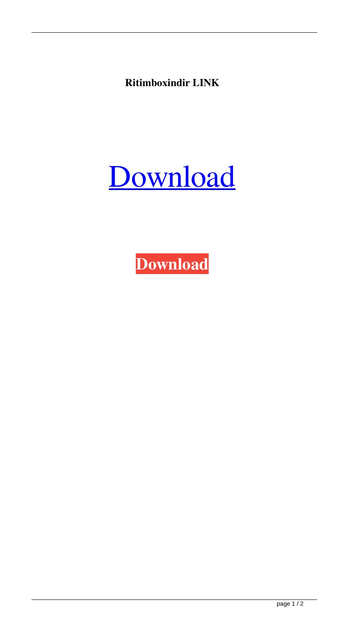**Ritimboxindir LINK**